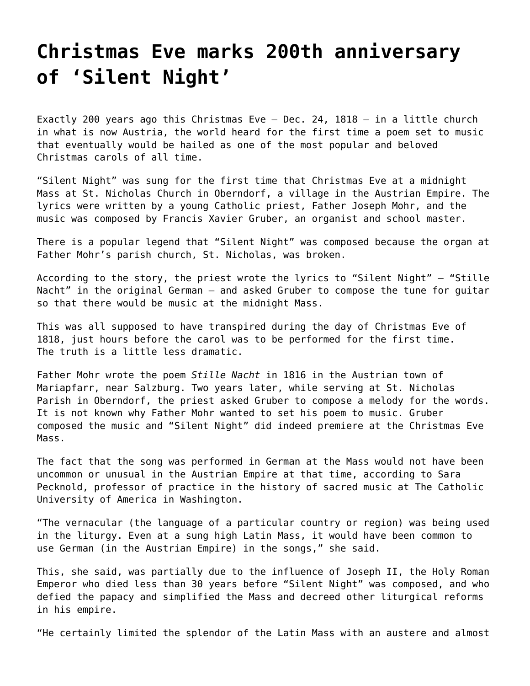## **[Christmas Eve marks 200th anniversary](https://grandinmedia.ca/christmas-eve-marks-200th-anniversary-silent-night/) [of 'Silent Night'](https://grandinmedia.ca/christmas-eve-marks-200th-anniversary-silent-night/)**

Exactly 200 years ago this Christmas Eve — Dec. 24, 1818 — in a little church in what is now Austria, the world heard for the first time a poem set to music that eventually would be hailed as one of the most popular and beloved Christmas carols of all time.

"Silent Night" was sung for the first time that Christmas Eve at a midnight Mass at St. Nicholas Church in Oberndorf, a village in the Austrian Empire. The lyrics were written by a young Catholic priest, Father Joseph Mohr, and the music was composed by Francis Xavier Gruber, an organist and school master.

There is a popular legend that "Silent Night" was composed because the organ at Father Mohr's parish church, St. Nicholas, was broken.

According to the story, the priest wrote the lyrics to "Silent Night" — "Stille Nacht" in the original German — and asked Gruber to compose the tune for guitar so that there would be music at the midnight Mass.

This was all supposed to have transpired during the day of Christmas Eve of 1818, just hours before the carol was to be performed for the first time. The truth is a little less dramatic.

Father Mohr wrote the poem *Stille Nacht* in 1816 in the Austrian town of Mariapfarr, near Salzburg. Two years later, while serving at St. Nicholas Parish in Oberndorf, the priest asked Gruber to compose a melody for the words. It is not known why Father Mohr wanted to set his poem to music. Gruber composed the music and "Silent Night" did indeed premiere at the Christmas Eve Mass.

The fact that the song was performed in German at the Mass would not have been uncommon or unusual in the Austrian Empire at that time, according to Sara Pecknold, professor of practice in the history of sacred music at The Catholic University of America in Washington.

"The vernacular (the language of a particular country or region) was being used in the liturgy. Even at a sung high Latin Mass, it would have been common to use German (in the Austrian Empire) in the songs," she said.

This, she said, was partially due to the influence of Joseph II, the Holy Roman Emperor who died less than 30 years before "Silent Night" was composed, and who defied the papacy and simplified the Mass and decreed other liturgical reforms in his empire.

"He certainly limited the splendor of the Latin Mass with an austere and almost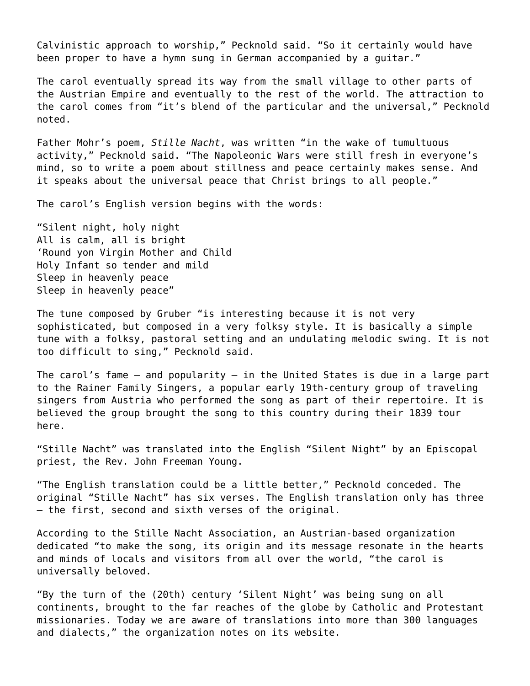Calvinistic approach to worship," Pecknold said. "So it certainly would have been proper to have a hymn sung in German accompanied by a guitar."

The carol eventually spread its way from the small village to other parts of the Austrian Empire and eventually to the rest of the world. The attraction to the carol comes from "it's blend of the particular and the universal," Pecknold noted.

Father Mohr's poem, *Stille Nacht*, was written "in the wake of tumultuous activity," Pecknold said. "The Napoleonic Wars were still fresh in everyone's mind, so to write a poem about stillness and peace certainly makes sense. And it speaks about the universal peace that Christ brings to all people."

The carol's English version begins with the words:

"Silent night, holy night All is calm, all is bright 'Round yon Virgin Mother and Child Holy Infant so tender and mild Sleep in heavenly peace Sleep in heavenly peace"

The tune composed by Gruber "is interesting because it is not very sophisticated, but composed in a very folksy style. It is basically a simple tune with a folksy, pastoral setting and an undulating melodic swing. It is not too difficult to sing," Pecknold said.

The carol's fame — and popularity — in the United States is due in a large part to the Rainer Family Singers, a popular early 19th-century group of traveling singers from Austria who performed the song as part of their repertoire. It is believed the group brought the song to this country during their 1839 tour here.

"Stille Nacht" was translated into the English "Silent Night" by an Episcopal priest, the Rev. John Freeman Young.

"The English translation could be a little better," Pecknold conceded. The original "Stille Nacht" has six verses. The English translation only has three — the first, second and sixth verses of the original.

According to the Stille Nacht Association, an Austrian-based organization dedicated "to make the song, its origin and its message resonate in the hearts and minds of locals and visitors from all over the world, "the carol is universally beloved.

"By the turn of the (20th) century 'Silent Night' was being sung on all continents, brought to the far reaches of the globe by Catholic and Protestant missionaries. Today we are aware of translations into more than 300 languages and dialects," the organization notes on its website.